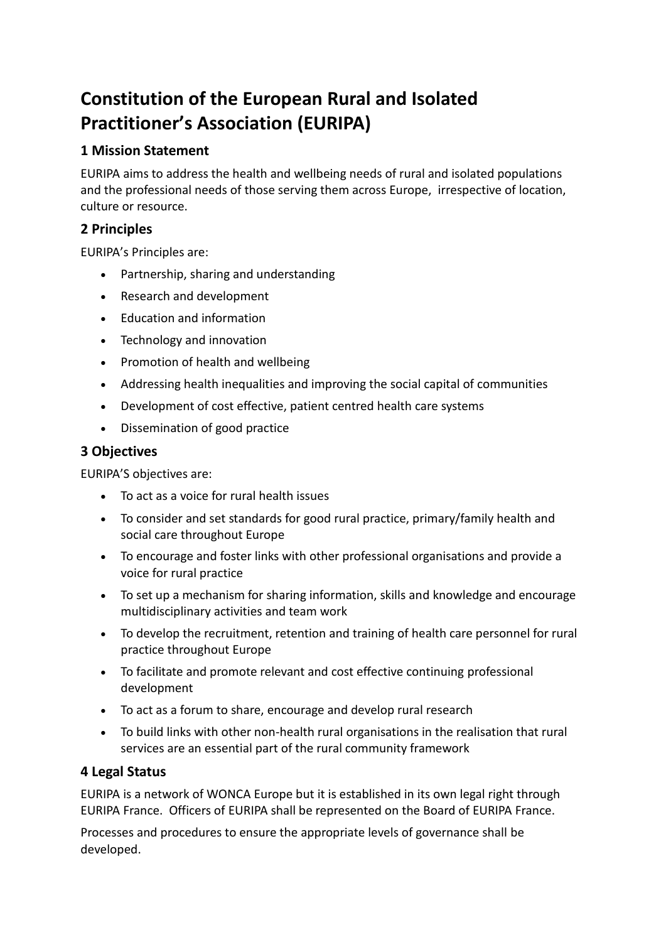# **Constitution of the European Rural and Isolated Practitioner's Association (EURIPA)**

# **1 Mission Statement**

EURIPA aims to address the health and wellbeing needs of rural and isolated populations and the professional needs of those serving them across Europe, irrespective of location, culture or resource.

# **2 Principles**

EURIPA's Principles are:

- Partnership, sharing and understanding
- Research and development
- Education and information
- Technology and innovation
- Promotion of health and wellbeing
- Addressing health inequalities and improving the social capital of communities
- Development of cost effective, patient centred health care systems
- Dissemination of good practice

# **3 Objectives**

EURIPA'S objectives are:

- To act as a voice for rural health issues
- To consider and set standards for good rural practice, primary/family health and social care throughout Europe
- To encourage and foster links with other professional organisations and provide a voice for rural practice
- To set up a mechanism for sharing information, skills and knowledge and encourage multidisciplinary activities and team work
- To develop the recruitment, retention and training of health care personnel for rural practice throughout Europe
- To facilitate and promote relevant and cost effective continuing professional development
- To act as a forum to share, encourage and develop rural research
- To build links with other non-health rural organisations in the realisation that rural services are an essential part of the rural community framework

# **4 Legal Status**

EURIPA is a network of WONCA Europe but it is established in its own legal right through EURIPA France. Officers of EURIPA shall be represented on the Board of EURIPA France.

Processes and procedures to ensure the appropriate levels of governance shall be developed.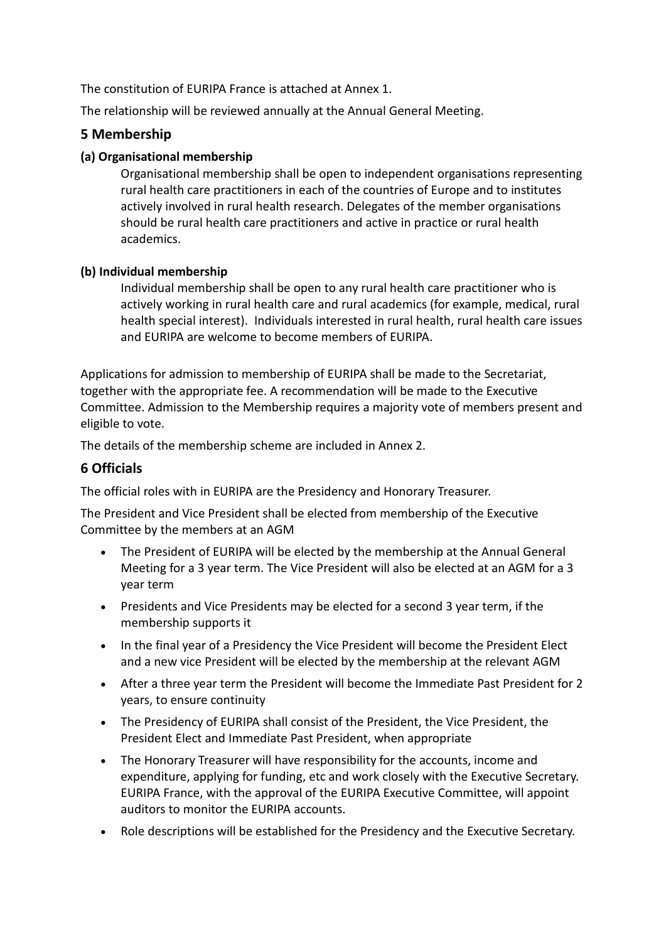The constitution of EURIPA France is attached at Annex 1.

The relationship will be reviewed annually at the Annual General Meeting.

# **5 Membership**

# **(a) Organisational membership**

Organisational membership shall be open to independent organisations representing rural health care practitioners in each of the countries of Europe and to institutes actively involved in rural health research. Delegates of the member organisations should be rural health care practitioners and active in practice or rural health academics.

# **(b) Individual membership**

Individual membership shall be open to any rural health care practitioner who is actively working in rural health care and rural academics (for example, medical, rural health special interest). Individuals interested in rural health, rural health care issues and EURIPA are welcome to become members of EURIPA.

Applications for admission to membership of EURIPA shall be made to the Secretariat, together with the appropriate fee. A recommendation will be made to the Executive Committee. Admission to the Membership requires a majority vote of members present and eligible to vote.

The details of the membership scheme are included in Annex 2.

# **6 Officials**

The official roles with in EURIPA are the Presidency and Honorary Treasurer.

The President and Vice President shall be elected from membership of the Executive Committee by the members at an AGM

- The President of EURIPA will be elected by the membership at the Annual General Meeting for a 3 year term. The Vice President will also be elected at an AGM for a 3 year term
- Presidents and Vice Presidents may be elected for a second 3 year term, if the membership supports it
- In the final year of a Presidency the Vice President will become the President Elect and a new vice President will be elected by the membership at the relevant AGM
- After a three year term the President will become the Immediate Past President for 2 years, to ensure continuity
- The Presidency of EURIPA shall consist of the President, the Vice President, the President Elect and Immediate Past President, when appropriate
- The Honorary Treasurer will have responsibility for the accounts, income and expenditure, applying for funding, etc and work closely with the Executive Secretary. EURIPA France, with the approval of the EURIPA Executive Committee, will appoint auditors to monitor the EURIPA accounts.
- Role descriptions will be established for the Presidency and the Executive Secretary.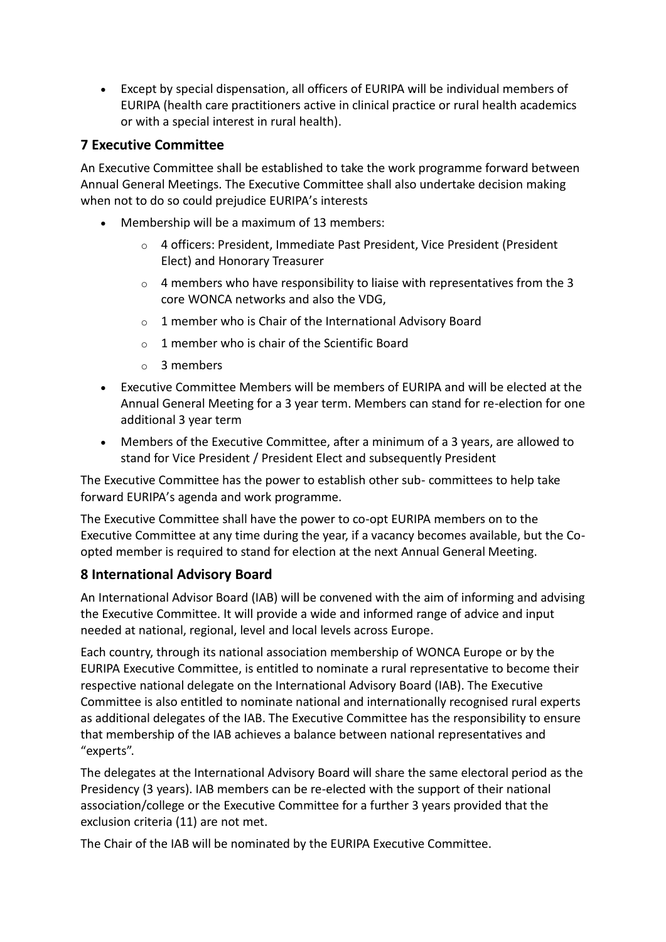• Except by special dispensation, all officers of EURIPA will be individual members of EURIPA (health care practitioners active in clinical practice or rural health academics or with a special interest in rural health).

# **7 Executive Committee**

An Executive Committee shall be established to take the work programme forward between Annual General Meetings. The Executive Committee shall also undertake decision making when not to do so could prejudice EURIPA's interests

- Membership will be a maximum of 13 members:
	- o 4 officers: President, Immediate Past President, Vice President (President Elect) and Honorary Treasurer
	- o 4 members who have responsibility to liaise with representatives from the 3 core WONCA networks and also the VDG,
	- o 1 member who is Chair of the International Advisory Board
	- $\circ$  1 member who is chair of the Scientific Board
	- o 3 members
- Executive Committee Members will be members of EURIPA and will be elected at the Annual General Meeting for a 3 year term. Members can stand for re-election for one additional 3 year term
- Members of the Executive Committee, after a minimum of a 3 years, are allowed to stand for Vice President / President Elect and subsequently President

The Executive Committee has the power to establish other sub- committees to help take forward EURIPA's agenda and work programme.

The Executive Committee shall have the power to co-opt EURIPA members on to the Executive Committee at any time during the year, if a vacancy becomes available, but the Coopted member is required to stand for election at the next Annual General Meeting.

# **8 International Advisory Board**

An International Advisor Board (IAB) will be convened with the aim of informing and advising the Executive Committee. It will provide a wide and informed range of advice and input needed at national, regional, level and local levels across Europe.

Each country, through its national association membership of WONCA Europe or by the EURIPA Executive Committee, is entitled to nominate a rural representative to become their respective national delegate on the International Advisory Board (IAB). The Executive Committee is also entitled to nominate national and internationally recognised rural experts as additional delegates of the IAB. The Executive Committee has the responsibility to ensure that membership of the IAB achieves a balance between national representatives and "experts".

The delegates at the International Advisory Board will share the same electoral period as the Presidency (3 years). IAB members can be re-elected with the support of their national association/college or the Executive Committee for a further 3 years provided that the exclusion criteria (11) are not met.

The Chair of the IAB will be nominated by the EURIPA Executive Committee.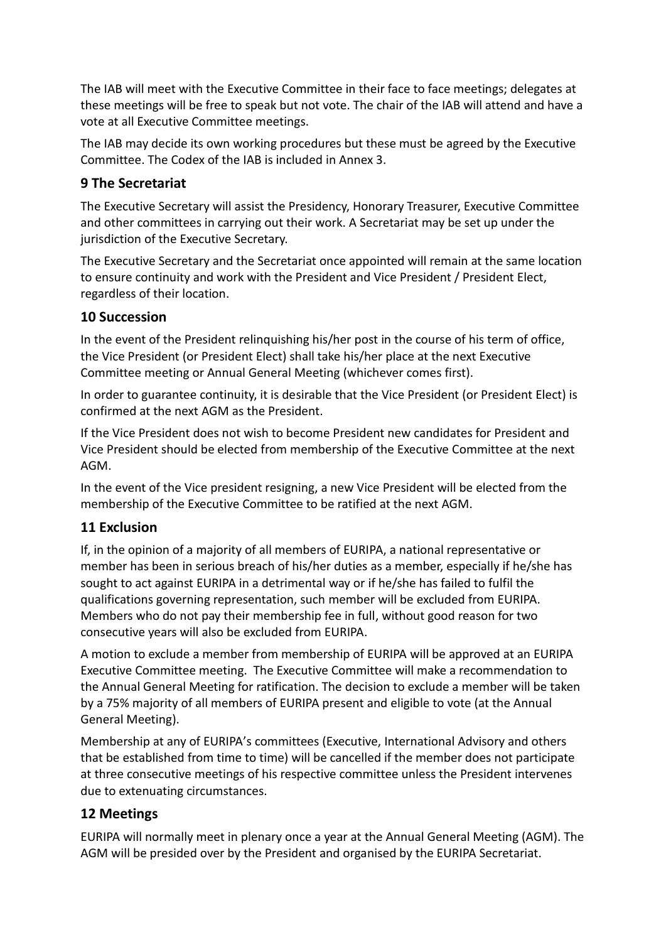The IAB will meet with the Executive Committee in their face to face meetings; delegates at these meetings will be free to speak but not vote. The chair of the IAB will attend and have a vote at all Executive Committee meetings.

The IAB may decide its own working procedures but these must be agreed by the Executive Committee. The Codex of the IAB is included in Annex 3.

# **9 The Secretariat**

The Executive Secretary will assist the Presidency, Honorary Treasurer, Executive Committee and other committees in carrying out their work. A Secretariat may be set up under the jurisdiction of the Executive Secretary.

The Executive Secretary and the Secretariat once appointed will remain at the same location to ensure continuity and work with the President and Vice President / President Elect, regardless of their location.

# **10 Succession**

In the event of the President relinquishing his/her post in the course of his term of office, the Vice President (or President Elect) shall take his/her place at the next Executive Committee meeting or Annual General Meeting (whichever comes first).

In order to guarantee continuity, it is desirable that the Vice President (or President Elect) is confirmed at the next AGM as the President.

If the Vice President does not wish to become President new candidates for President and Vice President should be elected from membership of the Executive Committee at the next AGM.

In the event of the Vice president resigning, a new Vice President will be elected from the membership of the Executive Committee to be ratified at the next AGM.

# **11 Exclusion**

If, in the opinion of a majority of all members of EURIPA, a national representative or member has been in serious breach of his/her duties as a member, especially if he/she has sought to act against EURIPA in a detrimental way or if he/she has failed to fulfil the qualifications governing representation, such member will be excluded from EURIPA. Members who do not pay their membership fee in full, without good reason for two consecutive years will also be excluded from EURIPA.

A motion to exclude a member from membership of EURIPA will be approved at an EURIPA Executive Committee meeting. The Executive Committee will make a recommendation to the Annual General Meeting for ratification. The decision to exclude a member will be taken by a 75% majority of all members of EURIPA present and eligible to vote (at the Annual General Meeting).

Membership at any of EURIPA's committees (Executive, International Advisory and others that be established from time to time) will be cancelled if the member does not participate at three consecutive meetings of his respective committee unless the President intervenes due to extenuating circumstances.

# **12 Meetings**

EURIPA will normally meet in plenary once a year at the Annual General Meeting (AGM). The AGM will be presided over by the President and organised by the EURIPA Secretariat.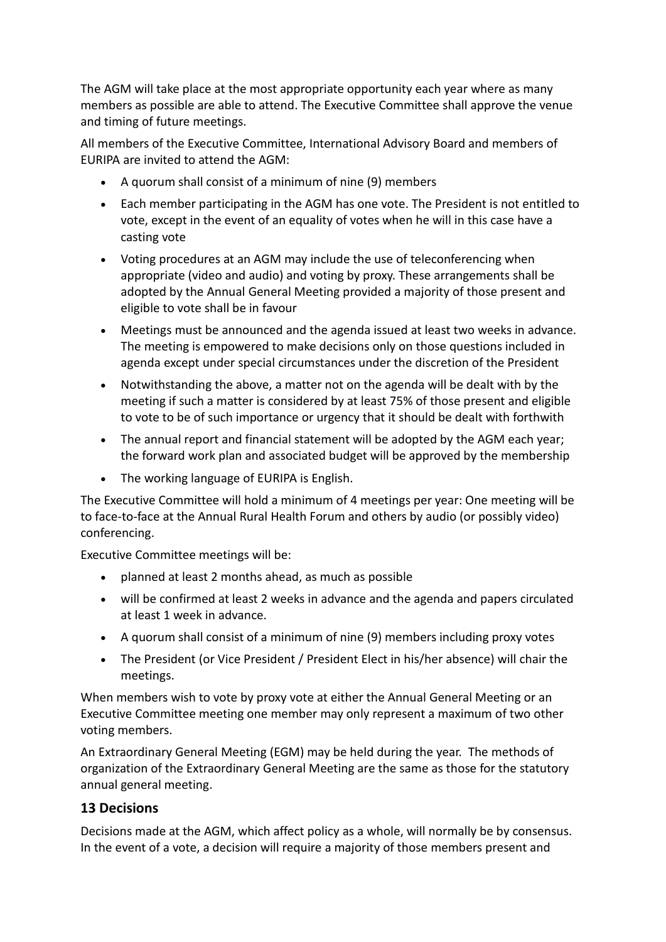The AGM will take place at the most appropriate opportunity each year where as many members as possible are able to attend. The Executive Committee shall approve the venue and timing of future meetings.

All members of the Executive Committee, International Advisory Board and members of EURIPA are invited to attend the AGM:

- A quorum shall consist of a minimum of nine (9) members
- Each member participating in the AGM has one vote. The President is not entitled to vote, except in the event of an equality of votes when he will in this case have a casting vote
- Voting procedures at an AGM may include the use of teleconferencing when appropriate (video and audio) and voting by proxy. These arrangements shall be adopted by the Annual General Meeting provided a majority of those present and eligible to vote shall be in favour
- Meetings must be announced and the agenda issued at least two weeks in advance. The meeting is empowered to make decisions only on those questions included in agenda except under special circumstances under the discretion of the President
- Notwithstanding the above, a matter not on the agenda will be dealt with by the meeting if such a matter is considered by at least 75% of those present and eligible to vote to be of such importance or urgency that it should be dealt with forthwith
- The annual report and financial statement will be adopted by the AGM each year; the forward work plan and associated budget will be approved by the membership
- The working language of EURIPA is English.

The Executive Committee will hold a minimum of 4 meetings per year: One meeting will be to face-to-face at the Annual Rural Health Forum and others by audio (or possibly video) conferencing.

Executive Committee meetings will be:

- planned at least 2 months ahead, as much as possible
- will be confirmed at least 2 weeks in advance and the agenda and papers circulated at least 1 week in advance.
- A quorum shall consist of a minimum of nine (9) members including proxy votes
- The President (or Vice President / President Elect in his/her absence) will chair the meetings.

When members wish to vote by proxy vote at either the Annual General Meeting or an Executive Committee meeting one member may only represent a maximum of two other voting members.

An Extraordinary General Meeting (EGM) may be held during the year. The methods of organization of the Extraordinary General Meeting are the same as those for the statutory annual general meeting.

# **13 Decisions**

Decisions made at the AGM, which affect policy as a whole, will normally be by consensus. In the event of a vote, a decision will require a majority of those members present and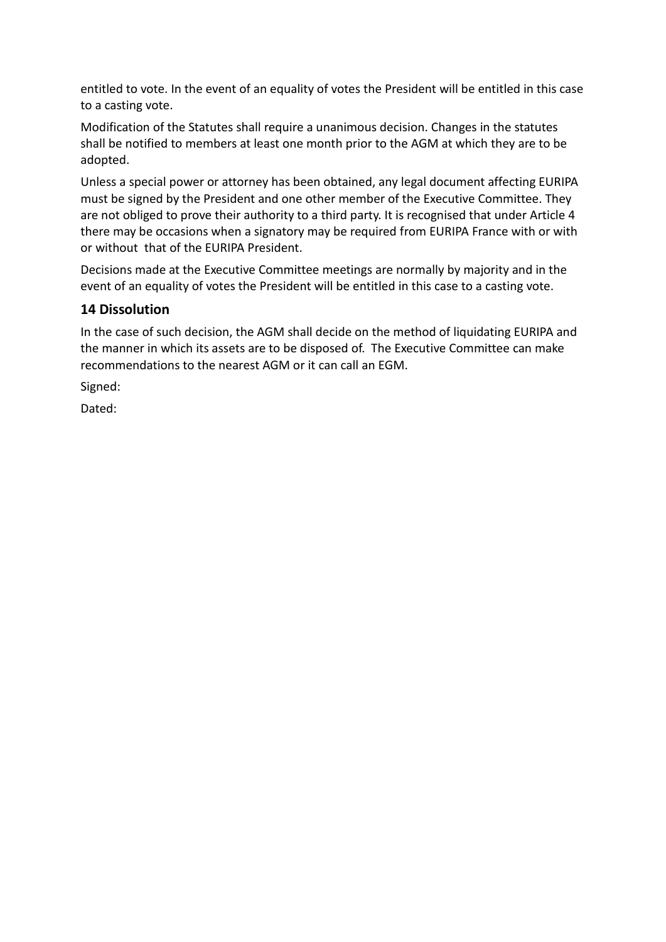entitled to vote. In the event of an equality of votes the President will be entitled in this case to a casting vote.

Modification of the Statutes shall require a unanimous decision. Changes in the statutes shall be notified to members at least one month prior to the AGM at which they are to be adopted.

Unless a special power or attorney has been obtained, any legal document affecting EURIPA must be signed by the President and one other member of the Executive Committee. They are not obliged to prove their authority to a third party. It is recognised that under Article 4 there may be occasions when a signatory may be required from EURIPA France with or with or without that of the EURIPA President.

Decisions made at the Executive Committee meetings are normally by majority and in the event of an equality of votes the President will be entitled in this case to a casting vote.

# **14 Dissolution**

In the case of such decision, the AGM shall decide on the method of liquidating EURIPA and the manner in which its assets are to be disposed of. The Executive Committee can make recommendations to the nearest AGM or it can call an EGM.

Signed:

Dated: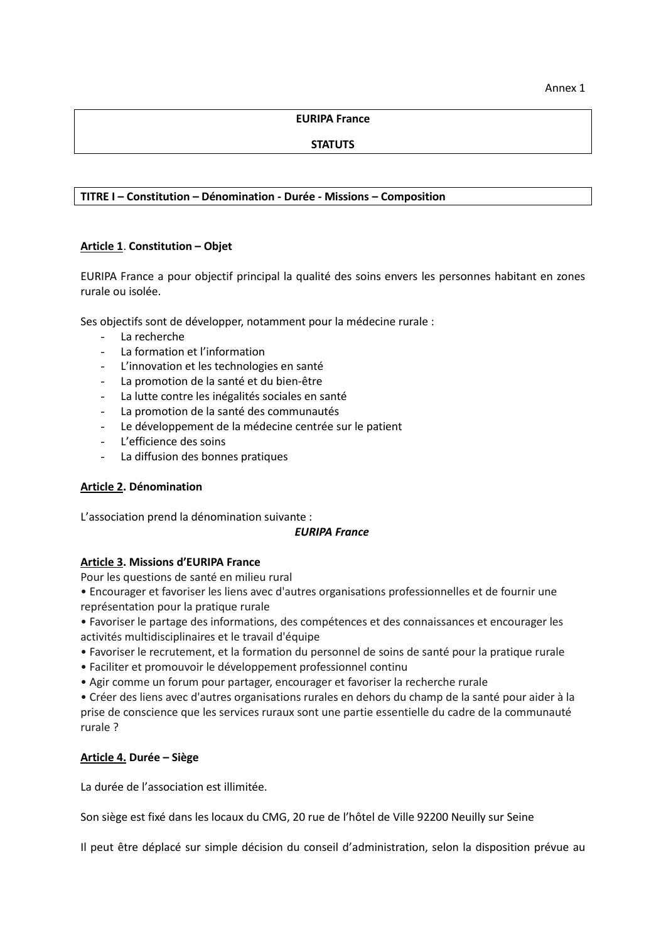### **EURIPA France**

# **STATUTS**

# **TITRE I – Constitution – Dénomination - Durée - Missions – Composition**

# **Article 1**. **Constitution – Objet**

EURIPA France a pour objectif principal la qualité des soins envers les personnes habitant en zones rurale ou isolée.

Ses objectifs sont de développer, notamment pour la médecine rurale :

- La recherche
- La formation et l'information
- L'innovation et les technologies en santé
- La promotion de la santé et du bien-être
- La lutte contre les inégalités sociales en santé
- La promotion de la santé des communautés
- Le développement de la médecine centrée sur le patient
- L'efficience des soins
- La diffusion des bonnes pratiques

## **Article 2. Dénomination**

L'association prend la dénomination suivante :

#### *EURIPA France*

## **Article 3. Missions d'EURIPA France**

Pour les questions de santé en milieu rural

• Encourager et favoriser les liens avec d'autres organisations professionnelles et de fournir une représentation pour la pratique rurale

• Favoriser le partage des informations, des compétences et des connaissances et encourager les activités multidisciplinaires et le travail d'équipe

- Favoriser le recrutement, et la formation du personnel de soins de santé pour la pratique rurale
- Faciliter et promouvoir le développement professionnel continu
- Agir comme un forum pour partager, encourager et favoriser la recherche rurale

• Créer des liens avec d'autres organisations rurales en dehors du champ de la santé pour aider à la prise de conscience que les services ruraux sont une partie essentielle du cadre de la communauté rurale ?

## **Article 4. Durée – Siège**

La durée de l'association est illimitée.

Son siège est fixé dans les locaux du CMG, 20 rue de l'hôtel de Ville 92200 Neuilly sur Seine

Il peut être déplacé sur simple décision du conseil d'administration, selon la disposition prévue au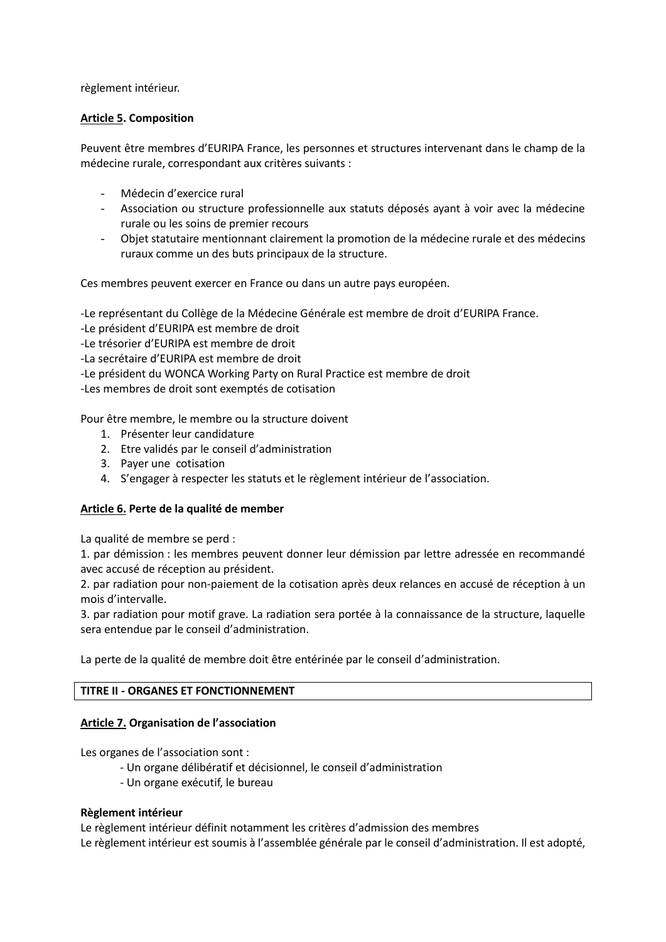règlement intérieur.

# **Article 5. Composition**

Peuvent être membres d'EURIPA France, les personnes et structures intervenant dans le champ de la médecine rurale, correspondant aux critères suivants :

- Médecin d'exercice rural
- Association ou structure professionnelle aux statuts déposés ayant à voir avec la médecine rurale ou les soins de premier recours
- Objet statutaire mentionnant clairement la promotion de la médecine rurale et des médecins ruraux comme un des buts principaux de la structure.

Ces membres peuvent exercer en France ou dans un autre pays européen.

-Le représentant du Collège de la Médecine Générale est membre de droit d'EURIPA France.

- -Le président d'EURIPA est membre de droit
- -Le trésorier d'EURIPA est membre de droit
- -La secrétaire d'EURIPA est membre de droit
- -Le président du WONCA Working Party on Rural Practice est membre de droit

-Les membres de droit sont exemptés de cotisation

Pour être membre, le membre ou la structure doivent

- 1. Présenter leur candidature
- 2. Etre validés par le conseil d'administration
- 3. Payer une cotisation
- 4. S'engager à respecter les statuts et le règlement intérieur de l'association.

## **Article 6. Perte de la qualité de member**

La qualité de membre se perd :

1. par démission : les membres peuvent donner leur démission par lettre adressée en recommandé avec accusé de réception au président.

2. par radiation pour non-paiement de la cotisation après deux relances en accusé de réception à un mois d'intervalle.

3. par radiation pour motif grave. La radiation sera portée à la connaissance de la structure, laquelle sera entendue par le conseil d'administration.

La perte de la qualité de membre doit être entérinée par le conseil d'administration.

## **TITRE II - ORGANES ET FONCTIONNEMENT**

## **Article 7. Organisation de l'association**

Les organes de l'association sont :

- Un organe délibératif et décisionnel, le conseil d'administration
- Un organe exécutif, le bureau

## **Règlement intérieur**

Le règlement intérieur définit notamment les critères d'admission des membres Le règlement intérieur est soumis à l'assemblée générale par le conseil d'administration. Il est adopté,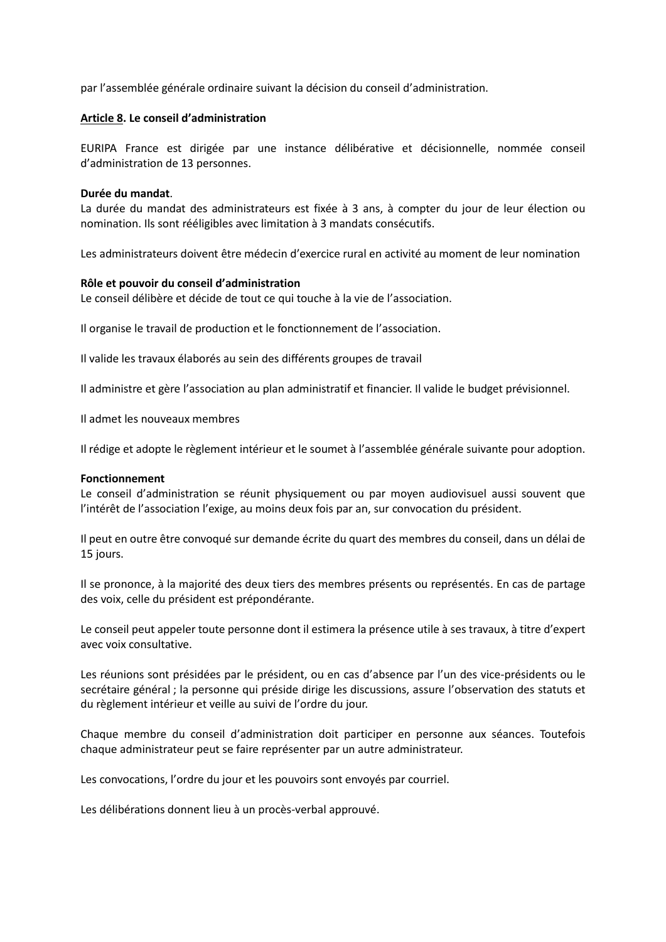par l'assemblée générale ordinaire suivant la décision du conseil d'administration.

#### **Article 8. Le conseil d'administration**

EURIPA France est dirigée par une instance délibérative et décisionnelle, nommée conseil d'administration de 13 personnes.

#### **Durée du mandat**.

La durée du mandat des administrateurs est fixée à 3 ans, à compter du jour de leur élection ou nomination. Ils sont rééligibles avec limitation à 3 mandats consécutifs.

Les administrateurs doivent être médecin d'exercice rural en activité au moment de leur nomination

#### **Rôle et pouvoir du conseil d'administration**

Le conseil délibère et décide de tout ce qui touche à la vie de l'association.

Il organise le travail de production et le fonctionnement de l'association.

Il valide les travaux élaborés au sein des différents groupes de travail

Il administre et gère l'association au plan administratif et financier. Il valide le budget prévisionnel.

Il admet les nouveaux membres

Il rédige et adopte le règlement intérieur et le soumet à l'assemblée générale suivante pour adoption.

#### **Fonctionnement**

Le conseil d'administration se réunit physiquement ou par moyen audiovisuel aussi souvent que l'intérêt de l'association l'exige, au moins deux fois par an, sur convocation du président.

Il peut en outre être convoqué sur demande écrite du quart des membres du conseil, dans un délai de 15 jours.

Il se prononce, à la majorité des deux tiers des membres présents ou représentés. En cas de partage des voix, celle du président est prépondérante.

Le conseil peut appeler toute personne dont il estimera la présence utile à ses travaux, à titre d'expert avec voix consultative.

Les réunions sont présidées par le président, ou en cas d'absence par l'un des vice-présidents ou le secrétaire général ; la personne qui préside dirige les discussions, assure l'observation des statuts et du règlement intérieur et veille au suivi de l'ordre du jour.

Chaque membre du conseil d'administration doit participer en personne aux séances. Toutefois chaque administrateur peut se faire représenter par un autre administrateur.

Les convocations, l'ordre du jour et les pouvoirs sont envoyés par courriel.

Les délibérations donnent lieu à un procès-verbal approuvé.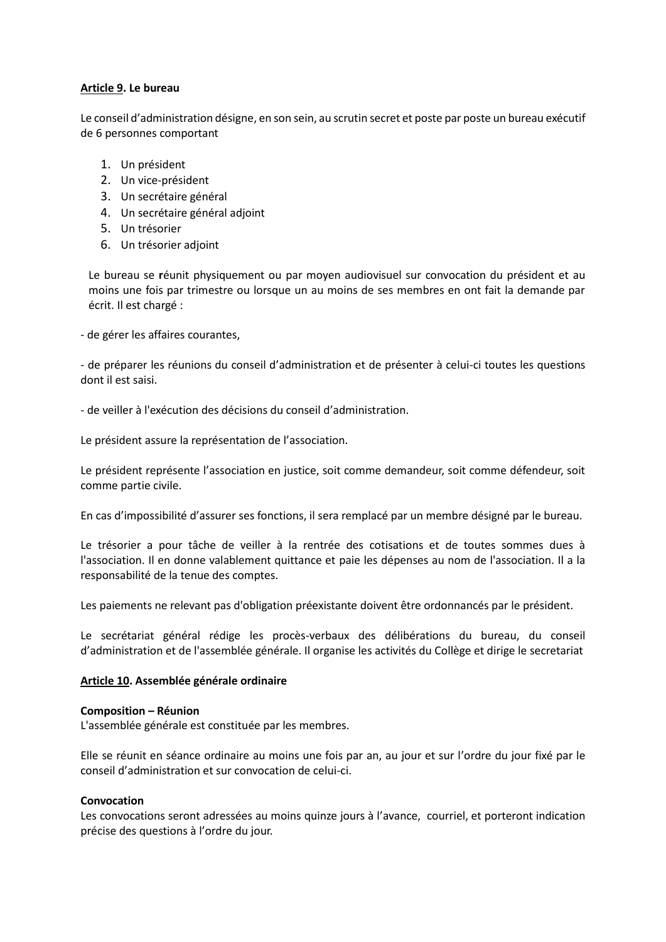## **Article 9. Le bureau**

Le conseil d'administration désigne, en son sein, au scrutin secret et poste par poste un bureau exécutif de 6 personnes comportant

- 1. Un président
- 2. Un vice-président
- 3. Un secrétaire général
- 4. Un secrétaire général adjoint
- 5. Un trésorier
- 6. Un trésorier adjoint

Le bureau se **r**éunit physiquement ou par moyen audiovisuel sur convocation du président et au moins une fois par trimestre ou lorsque un au moins de ses membres en ont fait la demande par écrit. Il est chargé :

- de gérer les affaires courantes,

- de préparer les réunions du conseil d'administration et de présenter à celui-ci toutes les questions dont il est saisi.

- de veiller à l'exécution des décisions du conseil d'administration.

Le président assure la représentation de l'association.

Le président représente l'association en justice, soit comme demandeur, soit comme défendeur, soit comme partie civile.

En cas d'impossibilité d'assurer ses fonctions, il sera remplacé par un membre désigné par le bureau.

Le trésorier a pour tâche de veiller à la rentrée des cotisations et de toutes sommes dues à l'association. Il en donne valablement quittance et paie les dépenses au nom de l'association. Il a la responsabilité de la tenue des comptes.

Les paiements ne relevant pas d'obligation préexistante doivent être ordonnancés par le président.

Le secrétariat général rédige les procès-verbaux des délibérations du bureau, du conseil d'administration et de l'assemblée générale. Il organise les activités du Collège et dirige le secretariat

## **Article 10. Assemblée générale ordinaire**

#### **Composition – Réunion**

L'assemblée générale est constituée par les membres.

Elle se réunit en séance ordinaire au moins une fois par an, au jour et sur l'ordre du jour fixé par le conseil d'administration et sur convocation de celui-ci.

#### **Convocation**

Les convocations seront adressées au moins quinze jours à l'avance, courriel, et porteront indication précise des questions à l'ordre du jour.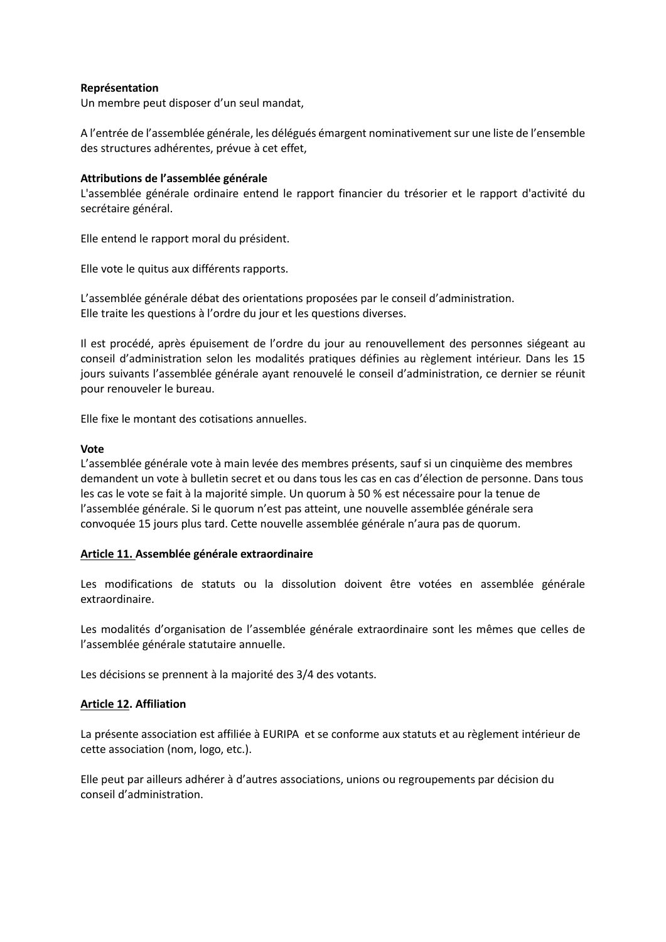# **Représentation**

Un membre peut disposer d'un seul mandat,

A l'entrée de l'assemblée générale, les délégués émargent nominativement sur une liste de l'ensemble des structures adhérentes, prévue à cet effet,

## **Attributions de l'assemblée générale**

L'assemblée générale ordinaire entend le rapport financier du trésorier et le rapport d'activité du secrétaire général.

Elle entend le rapport moral du président.

Elle vote le quitus aux différents rapports.

L'assemblée générale débat des orientations proposées par le conseil d'administration. Elle traite les questions à l'ordre du jour et les questions diverses.

Il est procédé, après épuisement de l'ordre du jour au renouvellement des personnes siégeant au conseil d'administration selon les modalités pratiques définies au règlement intérieur. Dans les 15 jours suivants l'assemblée générale ayant renouvelé le conseil d'administration, ce dernier se réunit pour renouveler le bureau.

Elle fixe le montant des cotisations annuelles.

#### **Vote**

L'assemblée générale vote à main levée des membres présents, sauf si un cinquième des membres demandent un vote à bulletin secret et ou dans tous les cas en cas d'élection de personne. Dans tous les cas le vote se fait à la majorité simple. Un quorum à 50 % est nécessaire pour la tenue de l'assemblée générale. Si le quorum n'est pas atteint, une nouvelle assemblée générale sera convoquée 15 jours plus tard. Cette nouvelle assemblée générale n'aura pas de quorum.

## **Article 11. Assemblée générale extraordinaire**

Les modifications de statuts ou la dissolution doivent être votées en assemblée générale extraordinaire.

Les modalités d'organisation de l'assemblée générale extraordinaire sont les mêmes que celles de l'assemblée générale statutaire annuelle.

Les décisions se prennent à la majorité des 3/4 des votants.

## **Article 12. Affiliation**

La présente association est affiliée à EURIPA et se conforme aux statuts et au règlement intérieur de cette association (nom, logo, etc.).

Elle peut par ailleurs adhérer à d'autres associations, unions ou regroupements par décision du conseil d'administration.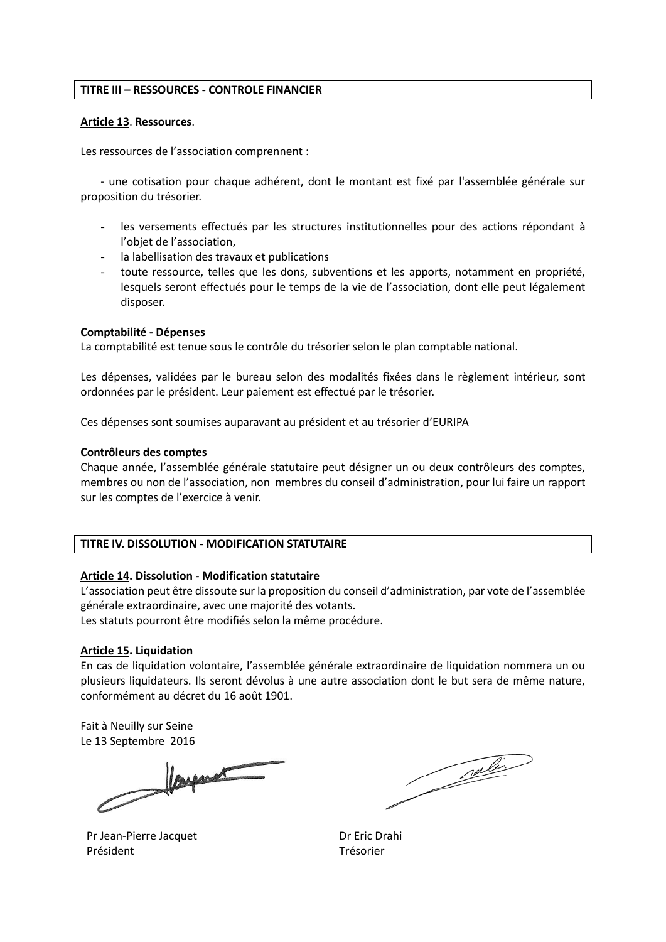## **TITRE III – RESSOURCES - CONTROLE FINANCIER**

#### **Article 13**. **Ressources**.

Les ressources de l'association comprennent :

- une cotisation pour chaque adhérent, dont le montant est fixé par l'assemblée générale sur proposition du trésorier.

- les versements effectués par les structures institutionnelles pour des actions répondant à l'objet de l'association,
- la labellisation des travaux et publications
- toute ressource, telles que les dons, subventions et les apports, notamment en propriété, lesquels seront effectués pour le temps de la vie de l'association, dont elle peut légalement disposer.

#### **Comptabilité - Dépenses**

La comptabilité est tenue sous le contrôle du trésorier selon le plan comptable national.

Les dépenses, validées par le bureau selon des modalités fixées dans le règlement intérieur, sont ordonnées par le président. Leur paiement est effectué par le trésorier.

Ces dépenses sont soumises auparavant au président et au trésorier d'EURIPA

#### **Contrôleurs des comptes**

Chaque année, l'assemblée générale statutaire peut désigner un ou deux contrôleurs des comptes, membres ou non de l'association, non membres du conseil d'administration, pour lui faire un rapport sur les comptes de l'exercice à venir.

## **TITRE IV. DISSOLUTION - MODIFICATION STATUTAIRE**

#### **Article 14. Dissolution - Modification statutaire**

L'association peut être dissoute sur la proposition du conseil d'administration, par vote de l'assemblée générale extraordinaire, avec une majorité des votants.

Les statuts pourront être modifiés selon la même procédure.

#### **Article 15. Liquidation**

En cas de liquidation volontaire, l'assemblée générale extraordinaire de liquidation nommera un ou plusieurs liquidateurs. Ils seront dévolus à une autre association dont le but sera de même nature, conformément au décret du 16 août 1901.

Fait à Neuilly sur Seine

Le 13 Septembre 2016

Pr Jean-Pierre Jacquet Président

Continued in

Dr Eric Drahi Trésorier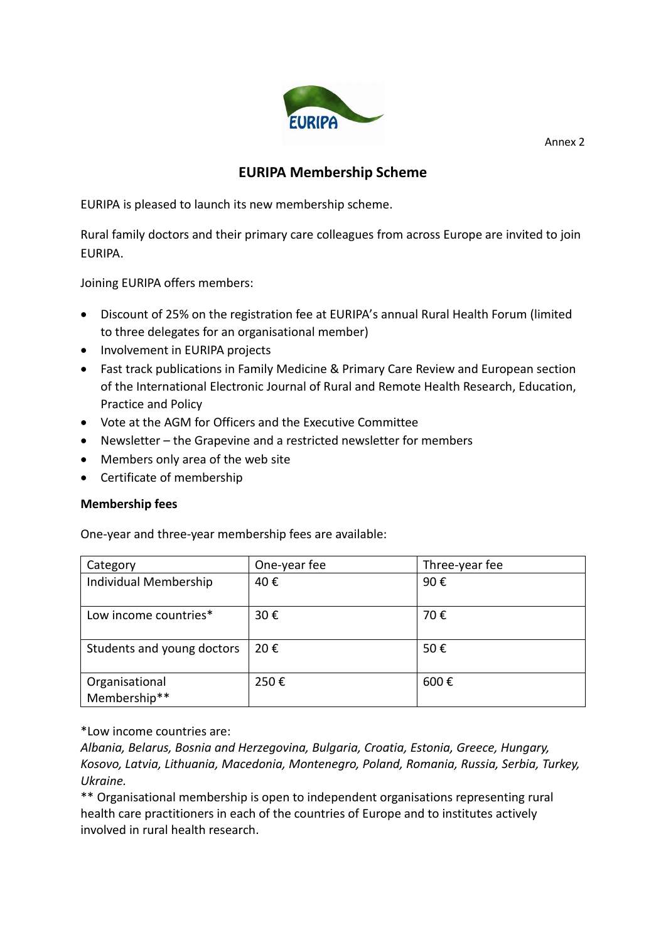

Annex 2

# **EURIPA Membership Scheme**

EURIPA is pleased to launch its new membership scheme.

Rural family doctors and their primary care colleagues from across Europe are invited to join EURIPA.

Joining EURIPA offers members:

- Discount of 25% on the registration fee at EURIPA's annual Rural Health Forum (limited to three delegates for an organisational member)
- Involvement in EURIPA projects
- Fast track publications in Family Medicine & Primary Care Review and European section of the International Electronic Journal of Rural and Remote Health Research, Education, Practice and Policy
- Vote at the AGM for Officers and the Executive Committee
- Newsletter the Grapevine and a restricted newsletter for members
- Members only area of the web site
- Certificate of membership

# **Membership fees**

One-year and three-year membership fees are available:

| Category                       | One-year fee | Three-year fee |
|--------------------------------|--------------|----------------|
| Individual Membership          | 40€          | 90€            |
| Low income countries*          | 30€          | 70€            |
| Students and young doctors     | 20€          | 50€            |
| Organisational<br>Membership** | 250€         | 600€           |

\*Low income countries are:

*Albania, Belarus, Bosnia and Herzegovina, Bulgaria, Croatia, Estonia, Greece, Hungary, Kosovo, Latvia, Lithuania, Macedonia, Montenegro, Poland, Romania, Russia, Serbia, Turkey, Ukraine.*

\*\* Organisational membership is open to independent organisations representing rural health care practitioners in each of the countries of Europe and to institutes actively involved in rural health research.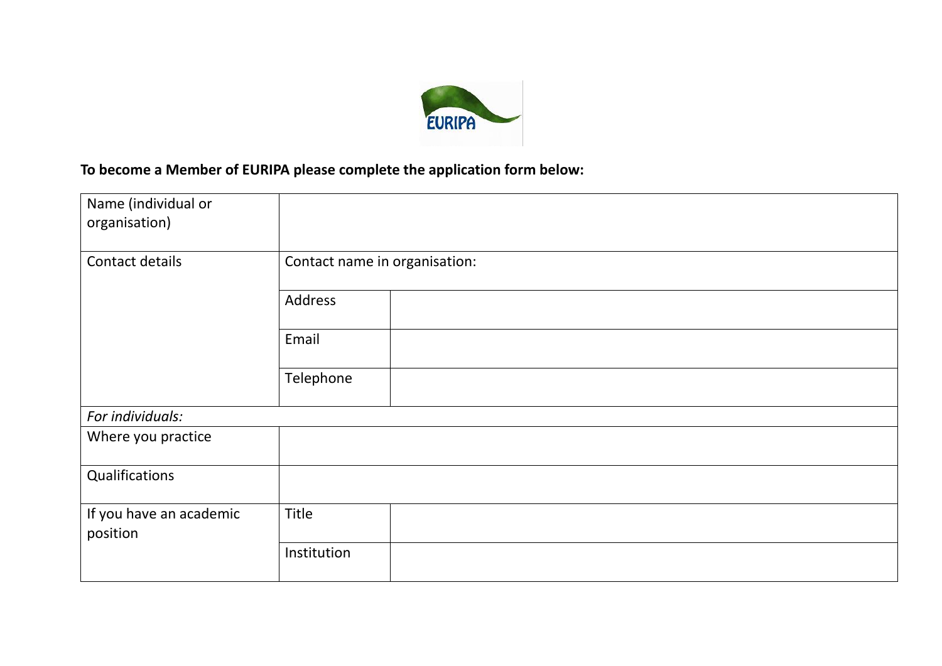

# **To become a Member of EURIPA please complete the application form below:**

| Name (individual or<br>organisation) |                               |
|--------------------------------------|-------------------------------|
| Contact details                      | Contact name in organisation: |
|                                      | Address                       |
|                                      | Email                         |
|                                      | Telephone                     |
| For individuals:                     |                               |
| Where you practice                   |                               |
| Qualifications                       |                               |
| If you have an academic<br>position  | Title                         |
|                                      | Institution                   |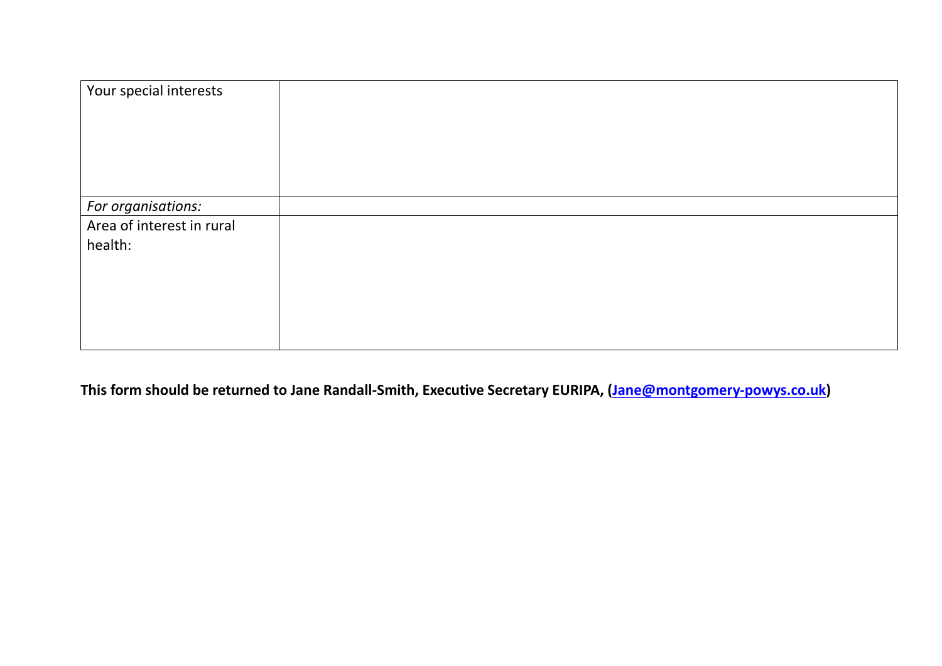| Your special interests               |  |
|--------------------------------------|--|
| For organisations:                   |  |
| Area of interest in rural<br>health: |  |

**This form should be returned to Jane Randall-Smith, Executive Secretary EURIPA, [\(Jane@montgomery-powys.co.uk\)](mailto:Jane@montgomery-powys.co.uk)**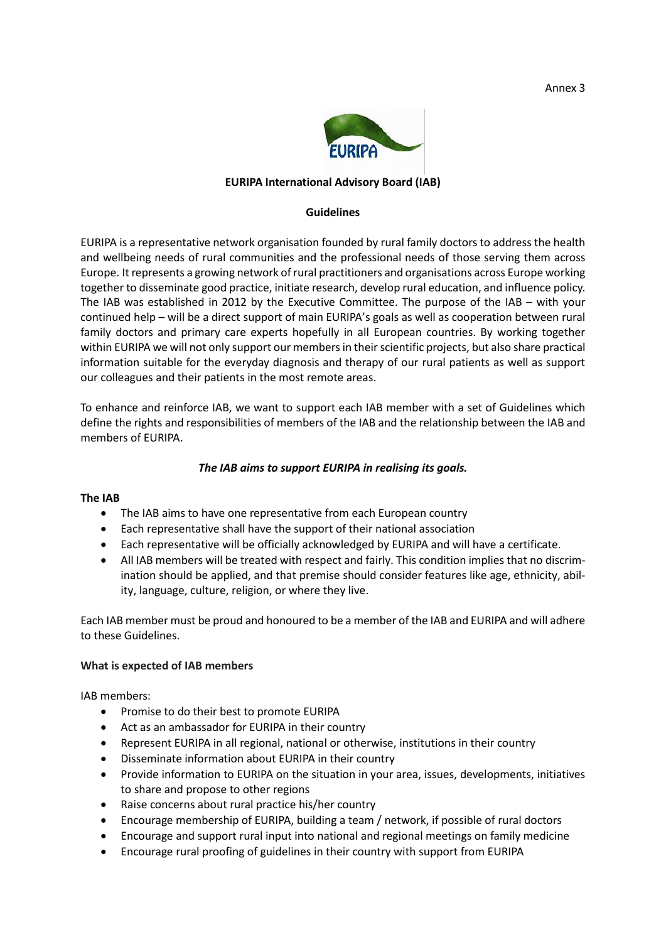Annex 3



# **EURIPA International Advisory Board (IAB)**

#### **Guidelines**

EURIPA is a representative network organisation founded by rural family doctors to address the health and wellbeing needs of rural communities and the professional needs of those serving them across Europe. It represents a growing network of rural practitioners and organisations across Europe working together to disseminate good practice, initiate research, develop rural education, and influence policy. The IAB was established in 2012 by the Executive Committee. The purpose of the IAB – with your continued help – will be a direct support of main EURIPA's goals as well as cooperation between rural family doctors and primary care experts hopefully in all European countries. By working together within EURIPA we will not only support our members in their scientific projects, but also share practical information suitable for the everyday diagnosis and therapy of our rural patients as well as support our colleagues and their patients in the most remote areas.

To enhance and reinforce IAB, we want to support each IAB member with a set of Guidelines which define the rights and responsibilities of members of the IAB and the relationship between the IAB and members of EURIPA.

# *The IAB aims to support EURIPA in realising its goals.*

## **The IAB**

- The IAB aims to have one representative from each European country
- Each representative shall have the support of their national association
- Each representative will be officially acknowledged by EURIPA and will have a certificate.
- All IAB members will be treated with respect and fairly. This condition implies that no discrimination should be applied, and that premise should consider features like age, ethnicity, ability, language, culture, religion, or where they live.

Each IAB member must be proud and honoured to be a member of the IAB and EURIPA and will adhere to these Guidelines.

## **What is expected of IAB members**

IAB members:

- Promise to do their best to promote EURIPA
- Act as an ambassador for EURIPA in their country
- Represent EURIPA in all regional, national or otherwise, institutions in their country
- Disseminate information about EURIPA in their country
- Provide information to EURIPA on the situation in your area, issues, developments, initiatives to share and propose to other regions
- Raise concerns about rural practice his/her country
- Encourage membership of EURIPA, building a team / network, if possible of rural doctors
- Encourage and support rural input into national and regional meetings on family medicine
- Encourage rural proofing of guidelines in their country with support from EURIPA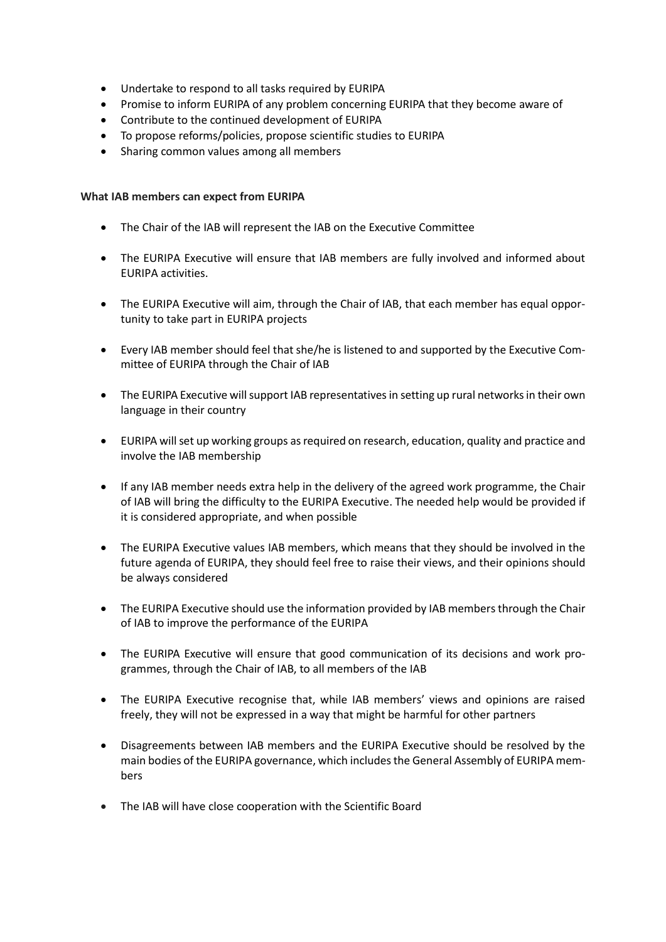- Undertake to respond to all tasks required by EURIPA
- Promise to inform EURIPA of any problem concerning EURIPA that they become aware of
- Contribute to the continued development of EURIPA
- To propose reforms/policies, propose scientific studies to EURIPA
- Sharing common values among all members

### **What IAB members can expect from EURIPA**

- The Chair of the IAB will represent the IAB on the Executive Committee
- The EURIPA Executive will ensure that IAB members are fully involved and informed about EURIPA activities.
- The EURIPA Executive will aim, through the Chair of IAB, that each member has equal opportunity to take part in EURIPA projects
- Every IAB member should feel that she/he is listened to and supported by the Executive Committee of EURIPA through the Chair of IAB
- The EURIPA Executive will support IAB representatives in setting up rural networks in their own language in their country
- EURIPA will set up working groups as required on research, education, quality and practice and involve the IAB membership
- If any IAB member needs extra help in the delivery of the agreed work programme, the Chair of IAB will bring the difficulty to the EURIPA Executive. The needed help would be provided if it is considered appropriate, and when possible
- The EURIPA Executive values IAB members, which means that they should be involved in the future agenda of EURIPA, they should feel free to raise their views, and their opinions should be always considered
- The EURIPA Executive should use the information provided by IAB members through the Chair of IAB to improve the performance of the EURIPA
- The EURIPA Executive will ensure that good communication of its decisions and work programmes, through the Chair of IAB, to all members of the IAB
- The EURIPA Executive recognise that, while IAB members' views and opinions are raised freely, they will not be expressed in a way that might be harmful for other partners
- Disagreements between IAB members and the EURIPA Executive should be resolved by the main bodies of the EURIPA governance, which includes the General Assembly of EURIPA members
- The IAB will have close cooperation with the Scientific Board